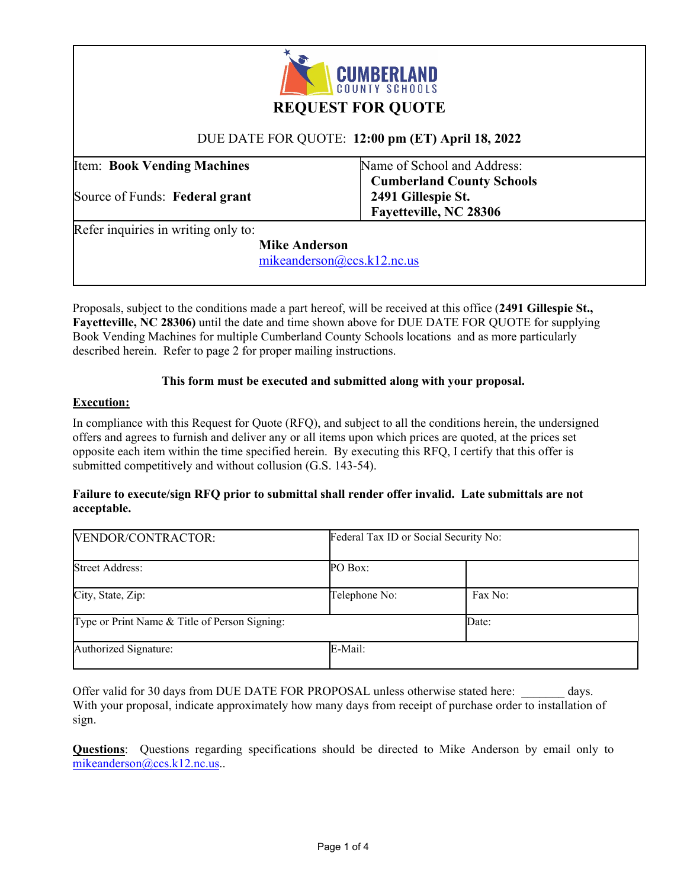

# **REQUEST FOR QUOTE**

# DUE DATE FOR QUOTE: **12:00 pm (ET) April 18, 2022**

Item: **Book Vending Machines** 

Source of Funds: **Federal grant** 

Name of School and Address:  **Cumberland County Schools 2491 Gillespie St. Fayetteville, NC 28306** 

Refer inquiries in writing only to:

 **Mike Anderson** 

mikeanderson@ccs.k12.nc.us

Proposals, subject to the conditions made a part hereof, will be received at this office (**2491 Gillespie St., Fayetteville, NC 28306)** until the date and time shown above for DUE DATE FOR QUOTE for supplying Book Vending Machines for multiple Cumberland County Schools locations and as more particularly described herein. Refer to page 2 for proper mailing instructions.

## **This form must be executed and submitted along with your proposal.**

## **Execution:**

In compliance with this Request for Quote (RFQ), and subject to all the conditions herein, the undersigned offers and agrees to furnish and deliver any or all items upon which prices are quoted, at the prices set opposite each item within the time specified herein. By executing this RFQ, I certify that this offer is submitted competitively and without collusion (G.S. 143-54).

#### **Failure to execute/sign RFQ prior to submittal shall render offer invalid. Late submittals are not acceptable.**

| VENDOR/CONTRACTOR:                            | Federal Tax ID or Social Security No: |         |
|-----------------------------------------------|---------------------------------------|---------|
| <b>Street Address:</b>                        | PO Box:                               |         |
| City, State, Zip:                             | Telephone No:                         | Fax No: |
| Type or Print Name & Title of Person Signing: |                                       | Date:   |
| Authorized Signature:                         | E-Mail:                               |         |

Offer valid for 30 days from DUE DATE FOR PROPOSAL unless otherwise stated here: days. With your proposal, indicate approximately how many days from receipt of purchase order to installation of sign.

**Questions**: Questions regarding specifications should be directed to Mike Anderson by email only to mikeanderson@ccs.k12.nc.us..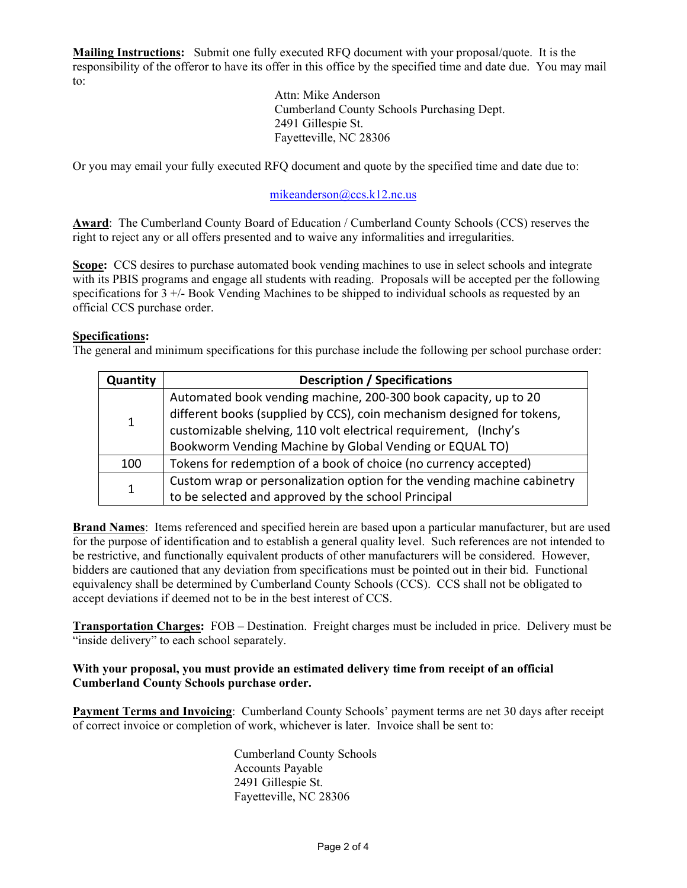**Mailing Instructions:** Submit one fully executed RFQ document with your proposal/quote. It is the responsibility of the offeror to have its offer in this office by the specified time and date due. You may mail to:

> Attn: Mike Anderson Cumberland County Schools Purchasing Dept. 2491 Gillespie St. Fayetteville, NC 28306

Or you may email your fully executed RFQ document and quote by the specified time and date due to:

# mikeanderson@ccs.k12.nc.us

**Award**: The Cumberland County Board of Education / Cumberland County Schools (CCS) reserves the right to reject any or all offers presented and to waive any informalities and irregularities.

**Scope:** CCS desires to purchase automated book vending machines to use in select schools and integrate with its PBIS programs and engage all students with reading. Proposals will be accepted per the following specifications for  $3 +$ - $\sqrt{5}$  Book Vending Machines to be shipped to individual schools as requested by an official CCS purchase order.

#### **Specifications:**

The general and minimum specifications for this purchase include the following per school purchase order:

| <b>Quantity</b> | <b>Description / Specifications</b>                                     |  |  |
|-----------------|-------------------------------------------------------------------------|--|--|
| $\mathbf{1}$    | Automated book vending machine, 200-300 book capacity, up to 20         |  |  |
|                 | different books (supplied by CCS), coin mechanism designed for tokens,  |  |  |
|                 | customizable shelving, 110 volt electrical requirement, (Inchy's        |  |  |
|                 | Bookworm Vending Machine by Global Vending or EQUAL TO)                 |  |  |
| 100             | Tokens for redemption of a book of choice (no currency accepted)        |  |  |
| 1               | Custom wrap or personalization option for the vending machine cabinetry |  |  |
|                 | to be selected and approved by the school Principal                     |  |  |

**Brand Names**: Items referenced and specified herein are based upon a particular manufacturer, but are used for the purpose of identification and to establish a general quality level. Such references are not intended to be restrictive, and functionally equivalent products of other manufacturers will be considered. However, bidders are cautioned that any deviation from specifications must be pointed out in their bid. Functional equivalency shall be determined by Cumberland County Schools (CCS). CCS shall not be obligated to accept deviations if deemed not to be in the best interest of CCS.

**Transportation Charges:** FOB – Destination. Freight charges must be included in price. Delivery must be "inside delivery" to each school separately.

## **With your proposal, you must provide an estimated delivery time from receipt of an official Cumberland County Schools purchase order.**

**Payment Terms and Invoicing**: Cumberland County Schools' payment terms are net 30 days after receipt of correct invoice or completion of work, whichever is later. Invoice shall be sent to:

> Cumberland County Schools Accounts Payable 2491 Gillespie St. Fayetteville, NC 28306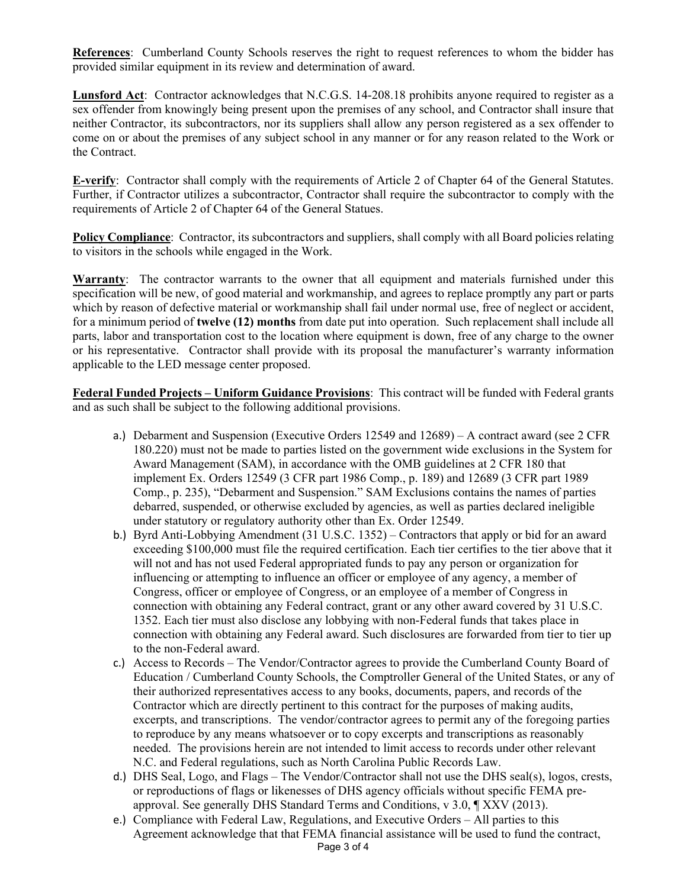**References**: Cumberland County Schools reserves the right to request references to whom the bidder has provided similar equipment in its review and determination of award.

**Lunsford Act**: Contractor acknowledges that N.C.G.S. 14-208.18 prohibits anyone required to register as a sex offender from knowingly being present upon the premises of any school, and Contractor shall insure that neither Contractor, its subcontractors, nor its suppliers shall allow any person registered as a sex offender to come on or about the premises of any subject school in any manner or for any reason related to the Work or the Contract.

**E-verify**: Contractor shall comply with the requirements of Article 2 of Chapter 64 of the General Statutes. Further, if Contractor utilizes a subcontractor, Contractor shall require the subcontractor to comply with the requirements of Article 2 of Chapter 64 of the General Statues.

**Policy Compliance:** Contractor, its subcontractors and suppliers, shall comply with all Board policies relating to visitors in the schools while engaged in the Work.

**Warranty**: The contractor warrants to the owner that all equipment and materials furnished under this specification will be new, of good material and workmanship, and agrees to replace promptly any part or parts which by reason of defective material or workmanship shall fail under normal use, free of neglect or accident, for a minimum period of **twelve (12) months** from date put into operation. Such replacement shall include all parts, labor and transportation cost to the location where equipment is down, free of any charge to the owner or his representative. Contractor shall provide with its proposal the manufacturer's warranty information applicable to the LED message center proposed.

**Federal Funded Projects – Uniform Guidance Provisions**: This contract will be funded with Federal grants and as such shall be subject to the following additional provisions.

- a.) Debarment and Suspension (Executive Orders 12549 and 12689) A contract award (see 2 CFR 180.220) must not be made to parties listed on the government wide exclusions in the System for Award Management (SAM), in accordance with the OMB guidelines at 2 CFR 180 that implement Ex. Orders 12549 (3 CFR part 1986 Comp., p. 189) and 12689 (3 CFR part 1989 Comp., p. 235), "Debarment and Suspension." SAM Exclusions contains the names of parties debarred, suspended, or otherwise excluded by agencies, as well as parties declared ineligible under statutory or regulatory authority other than Ex. Order 12549.
- b.) Byrd Anti-Lobbying Amendment (31 U.S.C. 1352) Contractors that apply or bid for an award exceeding \$100,000 must file the required certification. Each tier certifies to the tier above that it will not and has not used Federal appropriated funds to pay any person or organization for influencing or attempting to influence an officer or employee of any agency, a member of Congress, officer or employee of Congress, or an employee of a member of Congress in connection with obtaining any Federal contract, grant or any other award covered by 31 U.S.C. 1352. Each tier must also disclose any lobbying with non-Federal funds that takes place in connection with obtaining any Federal award. Such disclosures are forwarded from tier to tier up to the non-Federal award.
- c.) Access to Records The Vendor/Contractor agrees to provide the Cumberland County Board of Education / Cumberland County Schools, the Comptroller General of the United States, or any of their authorized representatives access to any books, documents, papers, and records of the Contractor which are directly pertinent to this contract for the purposes of making audits, excerpts, and transcriptions. The vendor/contractor agrees to permit any of the foregoing parties to reproduce by any means whatsoever or to copy excerpts and transcriptions as reasonably needed. The provisions herein are not intended to limit access to records under other relevant N.C. and Federal regulations, such as North Carolina Public Records Law.
- d.) DHS Seal, Logo, and Flags The Vendor/Contractor shall not use the DHS seal(s), logos, crests, or reproductions of flags or likenesses of DHS agency officials without specific FEMA preapproval. See generally DHS Standard Terms and Conditions, v 3.0, ¶ XXV (2013).
- e.) Compliance with Federal Law, Regulations, and Executive Orders All parties to this Agreement acknowledge that that FEMA financial assistance will be used to fund the contract,